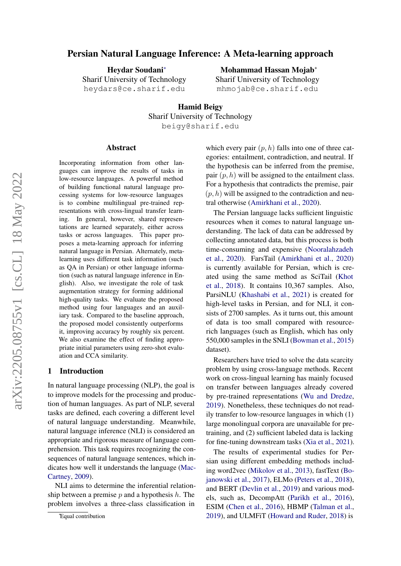# arXiv:2205.08755v1 [cs.CL] 18 May 2022 arXiv:2205.08755v1 [cs.CL] 18 May 2022

# Persian Natural Language Inference: A Meta-learning approach

Heydar Soudani<sup>∗</sup> Sharif University of Technology heydars@ce.sharif.edu

# Mohammad Hassan Mojab<sup>∗</sup>

Sharif University of Technology mhmojab@ce.sharif.edu

Hamid Beigy Sharif University of Technology beigy@sharif.edu

#### Abstract

Incorporating information from other languages can improve the results of tasks in low-resource languages. A powerful method of building functional natural language processing systems for low-resource languages is to combine multilingual pre-trained representations with cross-lingual transfer learning. In general, however, shared representations are learned separately, either across tasks or across languages. This paper proposes a meta-learning approach for inferring natural language in Persian. Alternately, metalearning uses different task information (such as QA in Persian) or other language information (such as natural language inference in English). Also, we investigate the role of task augmentation strategy for forming additional high-quality tasks. We evaluate the proposed method using four languages and an auxiliary task. Compared to the baseline approach, the proposed model consistently outperforms it, improving accuracy by roughly six percent. We also examine the effect of finding appropriate initial parameters using zero-shot evaluation and CCA similarity.

#### 1 Introduction

In natural language processing (NLP), the goal is to improve models for the processing and production of human languages. As part of NLP, several tasks are defined, each covering a different level of natural language understanding. Meanwhile, natural language inference (NLI) is considered an appropriate and rigorous measure of language comprehension. This task requires recognizing the consequences of natural language sentences, which indicates how well it understands the language [\(Mac-](#page-9-0)[Cartney,](#page-9-0) [2009\)](#page-9-0).

NLI aims to determine the inferential relationship between a premise  $p$  and a hypothesis  $h$ . The problem involves a three-class classification in

which every pair  $(p, h)$  falls into one of three categories: entailment, contradiction, and neutral. If the hypothesis can be inferred from the premise, pair  $(p, h)$  will be assigned to the entailment class. For a hypothesis that contradicts the premise, pair  $(p, h)$  will be assigned to the contradiction and neutral otherwise [\(Amirkhani et al.,](#page-8-0) [2020\)](#page-8-0).

The Persian language lacks sufficient linguistic resources when it comes to natural language understanding. The lack of data can be addressed by collecting annotated data, but this process is both time-consuming and expensive [\(Nooralahzadeh](#page-9-1) [et al.,](#page-9-1) [2020\)](#page-9-1). FarsTail [\(Amirkhani et al.,](#page-8-0) [2020\)](#page-8-0) is currently available for Persian, which is created using the same method as SciTail [\(Khot](#page-9-2) [et al.,](#page-9-2) [2018\)](#page-9-2). It contains 10,367 samples. Also, ParsiNLU [\(Khashabi et al.,](#page-8-1) [2021\)](#page-8-1) is created for high-level tasks in Persian, and for NLI, it consists of 2700 samples. As it turns out, this amount of data is too small compared with resourcerich languages (such as English, which has only 550,000 samples in the SNLI [\(Bowman et al.,](#page-8-2) [2015\)](#page-8-2) dataset).

Researchers have tried to solve the data scarcity problem by using cross-language methods. Recent work on cross-lingual learning has mainly focused on transfer between languages already covered by pre-trained representations [\(Wu and Dredze,](#page-10-0) [2019\)](#page-10-0). Nonetheless, these techniques do not readily transfer to low-resource languages in which (1) large monolingual corpora are unavailable for pretraining, and (2) sufficient labeled data is lacking for fine-tuning downstream tasks [\(Xia et al.,](#page-10-1) [2021\)](#page-10-1).

The results of experimental studies for Persian using different embedding methods including word2vec [\(Mikolov et al.,](#page-9-3) [2013\)](#page-9-3), fastText [\(Bo](#page-8-3)[janowski et al.,](#page-8-3) [2017\)](#page-8-3), ELMo [\(Peters et al.,](#page-9-4) [2018\)](#page-9-4), and BERT [\(Devlin et al.,](#page-8-4) [2019\)](#page-8-4) and various models, such as, DecompAtt [\(Parikh et al.,](#page-9-5) [2016\)](#page-9-5), ESIM [\(Chen et al.,](#page-8-5) [2016\)](#page-8-5), HBMP [\(Talman et al.,](#page-9-6) [2019\)](#page-9-6), and ULMFiT [\(Howard and Ruder,](#page-8-6) [2018\)](#page-8-6) is

<sup>∗</sup>Equal contribution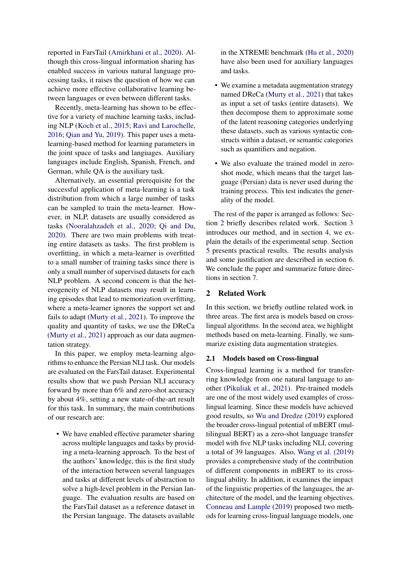reported in FarsTail [\(Amirkhani et al.,](#page-8-0) [2020\)](#page-8-0). Although this cross-lingual information sharing has enabled success in various natural language processing tasks, it raises the question of how we can achieve more effective collaborative learning between languages or even between different tasks.

Recently, meta-learning has shown to be effective for a variety of machine learning tasks, including NLP [\(Koch et al.,](#page-9-7) [2015;](#page-9-7) [Ravi and Larochelle,](#page-9-8) [2016;](#page-9-8) [Qian and Yu,](#page-9-9) [2019\)](#page-9-9). This paper uses a metalearning-based method for learning parameters in the joint space of tasks and languages. Auxiliary languages include English, Spanish, French, and German, while QA is the auxiliary task.

Alternatively, an essential prerequisite for the successful application of meta-learning is a task distribution from which a large number of tasks can be sampled to train the meta-learner. However, in NLP, datasets are usually considered as tasks [\(Nooralahzadeh et al.,](#page-9-1) [2020;](#page-9-1) [Qi and Du,](#page-9-10) [2020\)](#page-9-10). There are two main problems with treating entire datasets as tasks. The first problem is overfitting, in which a meta-learner is overfitted to a small number of training tasks since there is only a small number of supervised datasets for each NLP problem. A second concern is that the heterogeneity of NLP datasets may result in learning episodes that lead to memorization overfitting, where a meta-learner ignores the support set and fails to adapt [\(Murty et al.,](#page-9-11) [2021\)](#page-9-11). To improve the quality and quantity of tasks, we use the DReCa [\(Murty et al.,](#page-9-11) [2021\)](#page-9-11) approach as our data augmentation strategy.

In this paper, we employ meta-learning algorithms to enhance the Persian NLI task. Our models are evaluated on the FarsTail dataset. Experimental results show that we push Persian NLI accuracy forward by more than 6% and zero-shot accuracy by about 4%, setting a new state-of-the-art result for this task. In summary, the main contributions of our research are:

• We have enabled effective parameter sharing across multiple languages and tasks by providing a meta-learning approach. To the best of the authors' knowledge, this is the first study of the interaction between several languages and tasks at different levels of abstraction to solve a high-level problem in the Persian language. The evaluation results are based on the FarsTail dataset as a reference dataset in the Persian language. The datasets available

in the XTREME benchmark [\(Hu et al.,](#page-8-7) [2020\)](#page-8-7) have also been used for auxiliary languages and tasks.

- We examine a metadata augmentation strategy named DReCa [\(Murty et al.,](#page-9-11) [2021\)](#page-9-11) that takes as input a set of tasks (entire datasets). We then decompose them to approximate some of the latent reasoning categories underlying these datasets, such as various syntactic constructs within a dataset, or semantic categories such as quantifiers and negation.
- We also evaluate the trained model in zeroshot mode, which means that the target language (Persian) data is never used during the training process. This test indicates the generality of the model.

The rest of the paper is arranged as follows: Section [2](#page-1-0) briefly describes related work. Section [3](#page-3-0) introduces our method, and in section [4,](#page-4-0) we explain the details of the experimental setup. Section [5](#page-5-0) presents practical results. The results analysis and some justification are described in section [6.](#page-5-1) We conclude the paper and summarize future directions in section [7.](#page-7-0)

# <span id="page-1-0"></span>2 Related Work

In this section, we briefly outline related work in three areas. The first area is models based on crosslingual algorithms. In the second area, we highlight methods based on meta-learning. Finally, we summarize existing data augmentation strategies.

# 2.1 Models based on Cross-lingual

Cross-lingual learning is a method for transferring knowledge from one natural language to another [\(Pikuliak et al.,](#page-9-12) [2021\)](#page-9-12). Pre-trained models are one of the most widely used examples of crosslingual learning. Since these models have achieved good results, so [Wu and Dredze](#page-10-0) [\(2019\)](#page-10-0) explored the broader cross-lingual potential of mBERT (multilingual BERT) as a zero-shot language transfer model with five NLP tasks including NLI, covering a total of 39 languages. Also, [Wang et al.](#page-10-2) [\(2019\)](#page-10-2) provides a comprehensive study of the contribution of different components in mBERT to its crosslingual ability. In addition, it examines the impact of the linguistic properties of the languages, the architecture of the model, and the learning objectives. [Conneau and Lample](#page-8-8) [\(2019\)](#page-8-8) proposed two methods for learning cross-lingual language models, one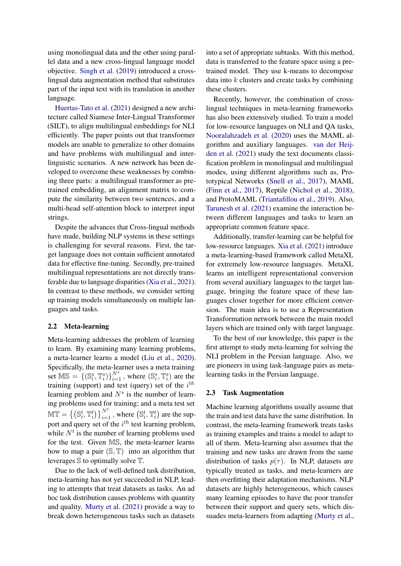using monolingual data and the other using parallel data and a new cross-lingual language model objective. [Singh et al.](#page-9-13) [\(2019\)](#page-9-13) introduced a crosslingual data augmentation method that substitutes part of the input text with its translation in another language.

[Huertas-Tato et al.](#page-8-9) [\(2021\)](#page-8-9) designed a new architecture called Siamese Inter-Lingual Transformer (SILT), to align multilingual embeddings for NLI efficiently. The paper points out that transformer models are unable to generalize to other domains and have problems with multilingual and interlinguistic scenarios. A new network has been developed to overcome these weaknesses by combining three parts: a multilingual transformer as pretrained embedding, an alignment matrix to compute the similarity between two sentences, and a multi-head self-attention block to interpret input strings.

Despite the advances that Cross-lingual methods have made, building NLP systems in these settings is challenging for several reasons. First, the target language does not contain sufficient annotated data for effective fine-tuning. Secondly, pre-trained multilingual representations are not directly transferable due to language disparities [\(Xia et al.,](#page-10-1) [2021\)](#page-10-1). In contrast to these methods, we consider setting up training models simultaneously on multiple languages and tasks.

# <span id="page-2-0"></span>2.2 Meta-learning

Meta-learning addresses the problem of learning to learn. By examining many learning problems, a meta-learner learns a model [\(Liu et al.,](#page-9-14) [2020\)](#page-9-14). Specifically, the meta-learner uses a meta training set  $MS = \{ (S_i^s, T_i^s) \}_{i=1}^{N^s}$ , where  $(S_i^s, T_i^s)$  are the training (support) and test (query) set of the  $i^{th}$ learning problem and  $N<sup>s</sup>$  is the number of learning problems used for training; and a meta test set  $\mathbb{MT} = \left\{ \left( \mathbb{S}^t_i, \mathbb{T}^t_i \right) \right\}_{i=1}^{N^t}$ , where  $\left( \mathbb{S}^t_i, \mathbb{T}^t_i \right)$  are the support and query set of the  $i^{th}$  test learning problem, while  $N<sup>t</sup>$  is the number of learning problems used for the test. Given MS, the meta-learner learns how to map a pair  $(S, T)$  into an algorithm that leverages S to optimally solve T.

Due to the lack of well-defined task distribution, meta-learning has not yet succeeded in NLP, leading to attempts that treat datasets as tasks. An ad hoc task distribution causes problems with quantity and quality. [Murty et al.](#page-9-11) [\(2021\)](#page-9-11) provide a way to break down heterogeneous tasks such as datasets

into a set of appropriate subtasks. With this method, data is transferred to the feature space using a pretrained model. They use k-means to decompose data into  $k$  clusters and create tasks by combining these clusters.

Recently, however, the combination of crosslingual techniques in meta-learning frameworks has also been extensively studied. To train a model for low-resource languages on NLI and QA tasks, [Nooralahzadeh et al.](#page-9-1) [\(2020\)](#page-9-1) uses the MAML algorithm and auxiliary languages. [van der Heij](#page-10-3)[den et al.](#page-10-3) [\(2021\)](#page-10-3) study the text documents classification problem in monolingual and multilingual modes, using different algorithms such as, Prototypical Networks [\(Snell et al.,](#page-9-15) [2017\)](#page-9-15), MAML [\(Finn et al.,](#page-8-10) [2017\)](#page-8-10), Reptile [\(Nichol et al.,](#page-9-16) [2018\)](#page-9-16), and ProtoMAML [\(Triantafillou et al.,](#page-10-4) [2019\)](#page-10-4). Also, [Tarunesh et al.](#page-9-17) [\(2021\)](#page-9-17) examine the interaction between different languages and tasks to learn an appropriate common feature space.

Additionally, transfer-learning can be helpful for low-resource languages. [Xia et al.](#page-10-1) [\(2021\)](#page-10-1) introduce a meta-learning-based framework called MetaXL for extremely low-resource languages. MetaXL learns an intelligent representational conversion from several auxiliary languages to the target language, bringing the feature space of these languages closer together for more efficient conversion. The main idea is to use a Representation Transformation network between the main model layers which are trained only with target language.

To the best of our knowledge, this paper is the first attempt to study meta-learning for solving the NLI problem in the Persian language. Also, we are pioneers in using task-language pairs as metalearning tasks in the Persian language.

#### 2.3 Task Augmentation

Machine learning algorithms usually assume that the train and test data have the same distribution. In contrast, the meta-learning framework treats tasks as training examples and trains a model to adapt to all of them. Meta-learning also assumes that the training and new tasks are drawn from the same distribution of tasks  $p(\tau)$ . In NLP, datasets are typically treated as tasks, and meta-learners are then overfitting their adaptation mechanisms. NLP datasets are highly heterogeneous, which causes many learning episodes to have the poor transfer between their support and query sets, which dissuades meta-learners from adapting [\(Murty et al.,](#page-9-11)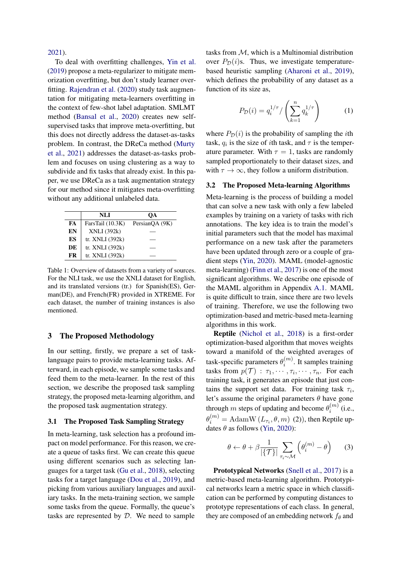[2021\)](#page-9-11).

To deal with overfitting challenges, [Yin et al.](#page-10-5) [\(2019\)](#page-10-5) propose a meta-regularizer to mitigate memorization overfitting, but don't study learner overfitting. [Rajendran et al.](#page-9-18) [\(2020\)](#page-9-18) study task augmentation for mitigating meta-learners overfitting in the context of few-shot label adaptation. SMLMT method [\(Bansal et al.,](#page-8-11) [2020\)](#page-8-11) creates new selfsupervised tasks that improve meta-overfitting, but this does not directly address the dataset-as-tasks problem. In contrast, the DReCa method [\(Murty](#page-9-11) [et al.,](#page-9-11) [2021\)](#page-9-11) addresses the dataset-as-tasks problem and focuses on using clustering as a way to subdivide and fix tasks that already exist. In this paper, we use DReCa as a task augmentation strategy for our method since it mitigates meta-overfitting without any additional unlabeled data.

<span id="page-3-1"></span>

|    | NLI               | OА             |
|----|-------------------|----------------|
| FA | FarsTail (10.3K)  | PersianQA (9K) |
| EN | XNLI (392k)       |                |
| ES | tr. XNLI (392k)   |                |
| DE | tr. XNLI $(392k)$ |                |
| FR | tr. XNLI (392k)   |                |

Table 1: Overview of datasets from a variety of sources. For the NLI task, we use the XNLI dataset for English, and its translated versions (tr.) for Spanish(ES), German(DE), and French(FR) provided in XTREME. For each dataset, the number of training instances is also mentioned.

# <span id="page-3-0"></span>3 The Proposed Methodology

In our setting, firstly, we prepare a set of tasklanguage pairs to provide meta-learning tasks. Afterward, in each episode, we sample some tasks and feed them to the meta-learner. In the rest of this section, we describe the proposed task sampling strategy, the proposed meta-learning algorithm, and the proposed task augmentation strategy.

#### 3.1 The Proposed Task Sampling Strategy

In meta-learning, task selection has a profound impact on model performance. For this reason, we create a queue of tasks first. We can create this queue using different scenarios such as selecting languages for a target task [\(Gu et al.,](#page-8-12) [2018\)](#page-8-12), selecting tasks for a target language [\(Dou et al.,](#page-8-13) [2019\)](#page-8-13), and picking from various auxiliary languages and auxiliary tasks. In the meta-training section, we sample some tasks from the queue. Formally, the queue's tasks are represented by D. We need to sample

tasks from  $M$ , which is a Multinomial distribution over  $P_{\mathcal{D}}(i)$ s. Thus, we investigate temperaturebased heuristic sampling [\(Aharoni et al.,](#page-8-14) [2019\)](#page-8-14), which defines the probability of any dataset as a function of its size as,

$$
P_{\mathcal{D}}(i) = q_i^{1/\tau} / \left(\sum_{k=1}^n q_k^{1/\tau}\right) \tag{1}
$$

where  $P_{\mathcal{D}}(i)$  is the probability of sampling the *i*th task,  $q_i$  is the size of *i*th task, and  $\tau$  is the temperature parameter. With  $\tau = 1$ , tasks are randomly sampled proportionately to their dataset sizes, and with  $\tau \to \infty$ , they follow a uniform distribution.

#### 3.2 The Proposed Meta-learning Algorithms

Meta-learning is the process of building a model that can solve a new task with only a few labeled examples by training on a variety of tasks with rich annotations. The key idea is to train the model's initial parameters such that the model has maximal performance on a new task after the parameters have been updated through zero or a couple of gradient steps [\(Yin,](#page-10-6) [2020\)](#page-10-6). MAML (model-agnostic meta-learning) [\(Finn et al.,](#page-8-10) [2017\)](#page-8-10) is one of the most significant algorithms. We describe one episode of the MAML algorithm in Appendix [A.1.](#page-10-7) MAML is quite difficult to train, since there are two levels of training. Therefore, we use the following two optimization-based and metric-based meta-learning algorithms in this work.

Reptile [\(Nichol et al.,](#page-9-16) [2018\)](#page-9-16) is a first-order optimization-based algorithm that moves weights toward a manifold of the weighted averages of task-specific parameters  $\theta_i^{(m)}$  $i^{(m)}$ . It samples training tasks from  $p(\mathcal{T}) : \tau_1, \cdots, \tau_i, \cdots, \tau_n$ . For each training task, it generates an episode that just contains the support set data. For training task  $\tau_i$ , let's assume the original parameters  $\theta$  have gone through m steps of updating and become  $\theta_i^{(m)}$  $i^{(m)}$  (i.e.,  $\theta_i^{(m)} = \text{AdamW}\left(L_{\tau_i}, \theta, m\right)$  (2)), then Reptile updates  $\theta$  as follows [\(Yin,](#page-10-6) [2020\)](#page-10-6):

<span id="page-3-2"></span>
$$
\theta \leftarrow \theta + \beta \frac{1}{|\{\mathcal{T}\}|} \sum_{\tau_i \sim \mathcal{M}} \left( \theta_i^{(m)} - \theta \right)
$$
 (3)

Prototypical Networks [\(Snell et al.,](#page-9-15) [2017\)](#page-9-15) is a metric-based meta-learning algorithm. Prototypical networks learn a metric space in which classification can be performed by computing distances to prototype representations of each class. In general, they are composed of an embedding network  $f_\theta$  and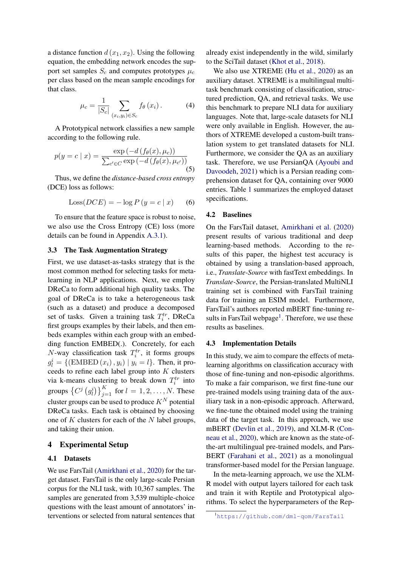a distance function  $d(x_1, x_2)$ . Using the following equation, the embedding network encodes the support set samples  $S_c$  and computes prototypes  $\mu_c$ per class based on the mean sample encodings for that class.

$$
\mu_c = \frac{1}{|S_c|} \sum_{(x_i, y_i) \in S_c} f_{\theta}(x_i). \tag{4}
$$

A Prototypical network classifies a new sample according to the following rule.

$$
p(y = c \mid x) = \frac{\exp(-d(f_{\theta}(x), \mu_c))}{\sum_{c' \in C} \exp(-d(f_{\theta}(x), \mu_{c'}))}
$$
(5)

Thus, we define the *distance-based cross entropy* (DCE) loss as follows:

$$
Loss(DCE) = -\log P (y = c | x)
$$
 (6)

To ensure that the feature space is robust to noise, we also use the Cross Entropy (CE) loss (more details can be found in Appendix [A.3.1\)](#page-11-0).

#### 3.3 The Task Augmentation Strategy

First, we use dataset-as-tasks strategy that is the most common method for selecting tasks for metalearning in NLP applications. Next, we employ DReCa to form additional high quality tasks. The goal of DReCa is to take a heterogeneous task (such as a dataset) and produce a decomposed set of tasks. Given a training task  $T_i^{tr}$ , DReCa first groups examples by their labels, and then embeds examples within each group with an embedding function EMBED(.). Concretely, for each  $N$ -way classification task  $T_i^{tr}$ , it forms groups  $g_l^i = \{(\text{EMBED}(x_i), y_i) | y_i = l\}.$  Then, it proceeds to refine each label group into K clusters via k-means clustering to break down  $T_i^{tr}$  into groups  $\left\{C^j\left(g_l^i\right)\right\}_{j=1}^K$  for  $l=1,2,\ldots,N$ . These cluster groups can be used to produce  $K^N$  potential DReCa tasks. Each task is obtained by choosing one of  $K$  clusters for each of the  $N$  label groups, and taking their union.

#### <span id="page-4-0"></span>4 Experimental Setup

# 4.1 Datasets

We use FarsTail [\(Amirkhani et al.,](#page-8-0) [2020\)](#page-8-0) for the target dataset. FarsTail is the only large-scale Persian corpus for the NLI task, with 10,367 samples. The samples are generated from 3,539 multiple-choice questions with the least amount of annotators' interventions or selected from natural sentences that

already exist independently in the wild, similarly to the SciTail dataset [\(Khot et al.,](#page-9-2) [2018\)](#page-9-2).

We also use XTREME [\(Hu et al.,](#page-8-7) [2020\)](#page-8-7) as an auxiliary dataset. XTREME is a multilingual multitask benchmark consisting of classification, structured prediction, QA, and retrieval tasks. We use this benchmark to prepare NLI data for auxiliary languages. Note that, large-scale datasets for NLI were only available in English. However, the authors of XTREME developed a custom-built translation system to get translated datasets for NLI. Furthermore, we consider the QA as an auxiliary task. Therefore, we use PersianQA [\(Ayoubi and](#page-8-15) [Davoodeh,](#page-8-15) [2021\)](#page-8-15) which is a Persian reading comprehension dataset for QA, containing over 9000 entries. Table [1](#page-3-1) summarizes the employed dataset specifications.

#### 4.2 Baselines

On the FarsTail dataset, [Amirkhani et al.](#page-8-0) [\(2020\)](#page-8-0) present results of various traditional and deep learning-based methods. According to the results of this paper, the highest test accuracy is obtained by using a translation-based approach, i.e., *Translate-Source* with fastText embeddings. In *Translate-Source*, the Persian-translated MultiNLI training set is combined with FarsTail training data for training an ESIM model. Furthermore, FarsTail's authors reported mBERT fine-tuning re-sults in FarsTail webpage<sup>[1](#page-4-1)</sup>. Therefore, we use these results as baselines.

#### 4.3 Implementation Details

In this study, we aim to compare the effects of metalearning algorithms on classification accuracy with those of fine-tuning and non-episodic algorithms. To make a fair comparison, we first fine-tune our pre-trained models using training data of the auxiliary task in a non-episodic approach. Afterward, we fine-tune the obtained model using the training data of the target task. In this approach, we use mBERT [\(Devlin et al.,](#page-8-4) [2019\)](#page-8-4), and XLM-R [\(Con](#page-8-16)[neau et al.,](#page-8-16) [2020\)](#page-8-16), which are known as the state-ofthe-art multilingual pre-trained models, and Pars-BERT [\(Farahani et al.,](#page-8-17) [2021\)](#page-8-17) as a monolingual transformer-based model for the Persian language.

In the meta-learning approach, we use the XLM-R model with output layers tailored for each task and train it with Reptile and Prototypical algorithms. To select the hyperparameters of the Rep-

<span id="page-4-1"></span><sup>1</sup><https://github.com/dml-qom/FarsTail>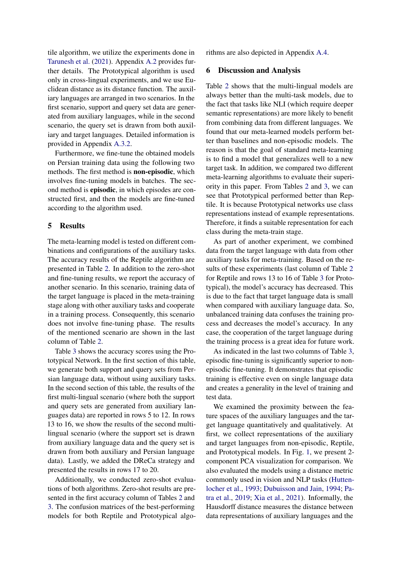tile algorithm, we utilize the experiments done in [Tarunesh et al.](#page-9-17) [\(2021\)](#page-9-17). Appendix [A.2](#page-10-8) provides further details. The Prototypical algorithm is used only in cross-lingual experiments, and we use Euclidean distance as its distance function. The auxiliary languages are arranged in two scenarios. In the first scenario, support and query set data are generated from auxiliary languages, while in the second scenario, the query set is drawn from both auxiliary and target languages. Detailed information is provided in Appendix [A.3.2.](#page-11-1)

Furthermore, we fine-tune the obtained models on Persian training data using the following two methods. The first method is non-episodic, which involves fine-tuning models in batches. The second method is episodic, in which episodes are constructed first, and then the models are fine-tuned according to the algorithm used.

# <span id="page-5-0"></span>5 Results

The meta-learning model is tested on different combinations and configurations of the auxiliary tasks. The accuracy results of the Reptile algorithm are presented in Table [2.](#page-6-0) In addition to the zero-shot and fine-tuning results, we report the accuracy of another scenario. In this scenario, training data of the target language is placed in the meta-training stage along with other auxiliary tasks and cooperate in a training process. Consequently, this scenario does not involve fine-tuning phase. The results of the mentioned scenario are shown in the last column of Table [2.](#page-6-0)

Table [3](#page-6-1) shows the accuracy scores using the Prototypical Network. In the first section of this table, we generate both support and query sets from Persian language data, without using auxiliary tasks. In the second section of this table, the results of the first multi-lingual scenario (where both the support and query sets are generated from auxiliary languages data) are reported in rows 5 to 12. In rows 13 to 16, we show the results of the second multilingual scenario (where the support set is drawn from auxiliary language data and the query set is drawn from both auxiliary and Persian language data). Lastly, we added the DReCa strategy and presented the results in rows 17 to 20.

Additionally, we conducted zero-shot evaluations of both algorithms. Zero-shot results are presented in the first accuracy column of Tables [2](#page-6-0) and [3.](#page-6-1) The confusion matrices of the best-performing models for both Reptile and Prototypical algorithms are also depicted in Appendix [A.4.](#page-11-2)

#### <span id="page-5-1"></span>6 Discussion and Analysis

Table [2](#page-6-0) shows that the multi-lingual models are always better than the multi-task models, due to the fact that tasks like NLI (which require deeper semantic representations) are more likely to benefit from combining data from different languages. We found that our meta-learned models perform better than baselines and non-episodic models. The reason is that the goal of standard meta-learning is to find a model that generalizes well to a new target task. In addition, we compared two different meta-learning algorithms to evaluate their superiority in this paper. From Tables [2](#page-6-0) and [3,](#page-6-1) we can see that Prototypical performed better than Reptile. It is because Prototypical networks use class representations instead of example representations. Therefore, it finds a suitable representation for each class during the meta-train stage.

As part of another experiment, we combined data from the target language with data from other auxiliary tasks for meta-training. Based on the results of these experiments (last column of Table [2](#page-6-0) for Reptile and rows 13 to 16 of Table [3](#page-6-1) for Prototypical), the model's accuracy has decreased. This is due to the fact that target language data is small when compared with auxiliary language data. So, unbalanced training data confuses the training process and decreases the model's accuracy. In any case, the cooperation of the target language during the training process is a great idea for future work.

As indicated in the last two columns of Table [3,](#page-6-1) episodic fine-tuning is significantly superior to nonepisodic fine-tuning. It demonstrates that episodic training is effective even on single language data and creates a generality in the level of training and test data.

We examined the proximity between the feature spaces of the auxiliary languages and the target language quantitatively and qualitatively. At first, we collect representations of the auxiliary and target languages from non-episodic, Reptile, and Prototypical models. In Fig. [1,](#page-7-1) we present 2 component PCA visualization for comparison. We also evaluated the models using a distance metric commonly used in vision and NLP tasks [\(Hutten](#page-8-18)[locher et al.,](#page-8-18) [1993;](#page-8-18) [Dubuisson and Jain,](#page-8-19) [1994;](#page-8-19) [Pa](#page-9-19)[tra et al.,](#page-9-19) [2019;](#page-9-19) [Xia et al.,](#page-10-1) [2021\)](#page-10-1). Informally, the Hausdorff distance measures the distance between data representations of auxiliary languages and the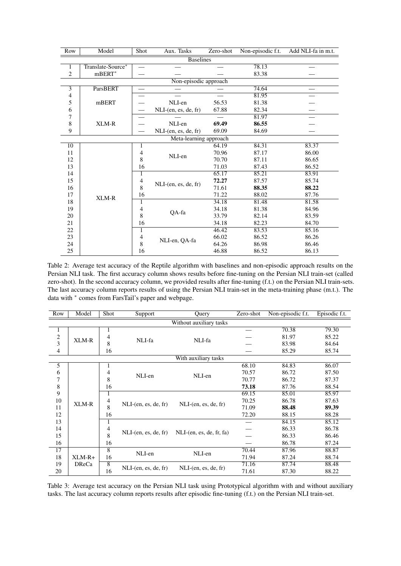<span id="page-6-0"></span>

| Row              | Model                 | Shot           | Aux. Tasks              | Zero-shot | Non-episodic f.t. | Add NLI-fa in m.t. |  |
|------------------|-----------------------|----------------|-------------------------|-----------|-------------------|--------------------|--|
| <b>Baselines</b> |                       |                |                         |           |                   |                    |  |
| 1                | Translate-Source*     |                | 78.13                   |           |                   |                    |  |
| 2                | $mBERT^*$             |                |                         |           | 83.38             |                    |  |
|                  | Non-episodic approach |                |                         |           |                   |                    |  |
| 3                | ParsBERT              |                |                         |           | 74.64             |                    |  |
| 4                |                       |                |                         |           | 81.95             |                    |  |
| 5                | mBERT                 |                | NLI-en                  | 56.53     | 81.38             |                    |  |
| 6                |                       |                | NLI-(en, es, de, fr)    | 67.88     | 82.34             |                    |  |
| 7                |                       |                |                         |           | 81.97             |                    |  |
| 8                | XLM-R                 |                | NLI-en                  | 69.49     | 86.55             |                    |  |
| 9                |                       |                | $NLI$ -(en, es, de, fr) | 69.09     | 84.69             |                    |  |
|                  |                       |                | Meta-learning approach  |           |                   |                    |  |
| 10               |                       | 1              |                         | 64.19     | 84.31             | 83.37              |  |
| 11               |                       | 4              | NLI-en                  | 70.96     | 87.17             | 86.00              |  |
| 12               |                       | 8              |                         | 70.70     | 87.11             | 86.65              |  |
| 13               |                       | 16             |                         | 71.03     | 87.43             | 86.52              |  |
| 14               |                       | 1              |                         | 65.17     | 85.21             | 83.91              |  |
| 15               |                       | $\overline{4}$ |                         | 72.27     | 87.57             | 85.74              |  |
| 16               |                       | 8              | NLI-(en, es, de, fr)    | 71.61     | 88.35             | 88.22              |  |
| 17               | XLM-R                 | 16             |                         | 71.22     | 88.02             | 87.76              |  |
| 18               |                       | 1              |                         | 34.18     | 81.48             | 81.58              |  |
| 19               |                       | $\overline{4}$ |                         | 34.18     | 81.38             | 84.96              |  |
| 20               |                       | 8              | QA-fa                   | 33.79     | 82.14             | 83.59              |  |
| 21               |                       | 16             |                         | 34.18     | 82.23             | 84.70              |  |
| 22               |                       | $\mathbf{1}$   |                         | 46.42     | 83.53             | 85.16              |  |
| 23               |                       | 4              |                         | 66.02     | 86.52             | 86.26              |  |
| 24               |                       | 8              | NLI-en, QA-fa           | 64.26     | 86.98             | 86.46              |  |
| 25               |                       | 16             |                         | 46.88     | 86.52             | 86.13              |  |

Table 2: Average test accuracy of the Reptile algorithm with baselines and non-episodic approach results on the Persian NLI task. The first accuracy column shows results before fine-tuning on the Persian NLI train-set (called zero-shot). In the second accuracy column, we provided results after fine-tuning (f.t.) on the Persian NLI train-sets. The last accuracy column reports results of using the Persian NLI train-set in the meta-training phase (m.t.). The data with <sup>∗</sup> comes from FarsTail's paper and webpage.

<span id="page-6-1"></span>

| Row                     | Model        | Shot           | Support                 | Query                    | Zero-shot | Non-episodic f.t. | Episodic f.t. |
|-------------------------|--------------|----------------|-------------------------|--------------------------|-----------|-------------------|---------------|
| Without auxiliary tasks |              |                |                         |                          |           |                   |               |
| 1                       |              | 1              |                         | NLI-fa                   |           | 70.38             | 79.30         |
| $\overline{\mathbf{c}}$ | XLM-R        | $\overline{4}$ | NLI-fa                  |                          |           | 81.97             | 85.22         |
| 3                       |              | 8              |                         |                          |           | 83.98             | 84.64         |
| 4                       |              | 16             |                         |                          |           | 85.29             | 85.74         |
| With auxiliary tasks    |              |                |                         |                          |           |                   |               |
| 5                       |              | 1              | NLI-en                  | NLI-en                   | 68.10     | 84.83             | 86.07         |
| 6                       |              | 4              |                         |                          | 70.57     | 86.72             | 87.50         |
| 7                       |              | 8              |                         |                          | 70.77     | 86.72             | 87.37         |
| 8                       |              | 16             |                         |                          | 73.18     | 87.76             | 88.54         |
| 9                       |              | 1              |                         | $NLI$ -(en, es, de, fr)  | 69.15     | 85.01             | 85.97         |
| 10                      | XLM-R        | 4              |                         |                          | 70.25     | 86.78             | 87.63         |
| 11                      |              | 8              | $NLI$ -(en, es, de, fr) |                          | 71.09     | 88.48             | 89.39         |
| 12                      |              | 16             |                         |                          | 72.20     | 88.15             | 88.28         |
| 13                      |              | 1              |                         | NLI-(en, es, de, fr, fa) |           | 84.15             | 85.12         |
| 14                      |              | 4              | $NLI$ -(en, es, de, fr) |                          |           | 86.33             | 86.78         |
| 15                      |              | 8              |                         |                          |           | 86.33             | 86.46         |
| 16                      |              | 16             |                         |                          |           | 86.78             | 87.24         |
| 17                      |              | 8              | NLI-en                  |                          | 70.44     | 87.96             | 88.87         |
| 18                      | $XLM-R+$     | 16             |                         | NLI-en                   | 71.94     | 87.24             | 88.74         |
| 19                      | <b>DReCa</b> | $\overline{8}$ |                         | $NLI$ -(en, es, de, fr)  | 71.16     | 87.74             | 88.48         |
| 20                      |              | 16             | NLI-(en, es, de, fr)    |                          | 71.61     | 87.30             | 88.22         |

Table 3: Average test accuracy on the Persian NLI task using Prototypical algorithm with and without auxiliary tasks. The last accuracy column reports results after episodic fine-tuning (f.t.) on the Persian NLI train-set.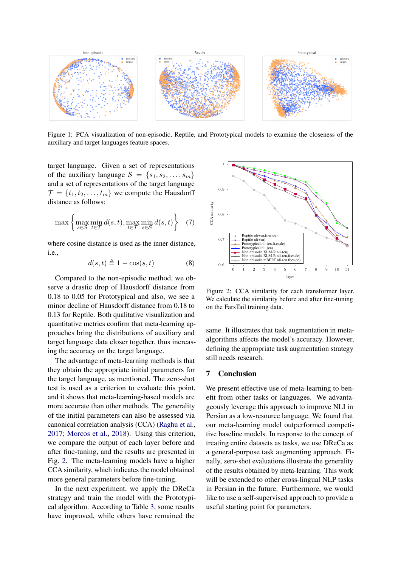<span id="page-7-1"></span>

Figure 1: PCA visualization of non-episodic, Reptile, and Prototypical models to examine the closeness of the auxiliary and target languages feature spaces.

target language. Given a set of representations of the auxiliary language  $S = \{s_1, s_2, \ldots, s_m\}$ and a set of representations of the target language  $\mathcal{T} = \{t_1, t_2, \ldots, t_m\}$  we compute the Hausdorff distance as follows:

$$
\max\left\{\max_{s\in\mathcal{S}}\min_{t\in\mathcal{T}}d(s,t),\max_{t\in\mathcal{T}}\min_{s\in\mathcal{S}}d(s,t)\right\}
$$
 (7)

where cosine distance is used as the inner distance, i.e.,

$$
d(s,t) \triangleq 1 - \cos(s,t) \tag{8}
$$

Compared to the non-episodic method, we observe a drastic drop of Hausdorff distance from 0.18 to 0.05 for Prototypical and also, we see a minor decline of Hausdorff distance from 0.18 to 0.13 for Reptile. Both qualitative visualization and quantitative metrics confirm that meta-learning approaches bring the distributions of auxiliary and target language data closer together, thus increasing the accuracy on the target language.

The advantage of meta-learning methods is that they obtain the appropriate initial parameters for the target language, as mentioned. The zero-shot test is used as a criterion to evaluate this point, and it shows that meta-learning-based models are more accurate than other methods. The generality of the initial parameters can also be assessed via canonical correlation analysis (CCA) [\(Raghu et al.,](#page-9-20) [2017;](#page-9-20) [Morcos et al.,](#page-9-21) [2018\)](#page-9-21). Using this criterion, we compare the output of each layer before and after fine-tuning, and the results are presented in Fig. [2.](#page-7-2) The meta-learning models have a higher CCA similarity, which indicates the model obtained more general parameters before fine-tuning.

In the next experiment, we apply the DReCa strategy and train the model with the Prototypical algorithm. According to Table [3,](#page-6-1) some results have improved, while others have remained the

<span id="page-7-2"></span>

Figure 2: CCA similarity for each transformer layer. We calculate the similarity before and after fine-tuning on the FarsTail training data.

same. It illustrates that task augmentation in metaalgorithms affects the model's accuracy. However, defining the appropriate task augmentation strategy still needs research.

# <span id="page-7-0"></span>7 Conclusion

We present effective use of meta-learning to benefit from other tasks or languages. We advantageously leverage this approach to improve NLI in Persian as a low-resource language. We found that our meta-learning model outperformed competitive baseline models. In response to the concept of treating entire datasets as tasks, we use DReCa as a general-purpose task augmenting approach. Finally, zero-shot evaluations illustrate the generality of the results obtained by meta-learning. This work will be extended to other cross-lingual NLP tasks in Persian in the future. Furthermore, we would like to use a self-supervised approach to provide a useful starting point for parameters.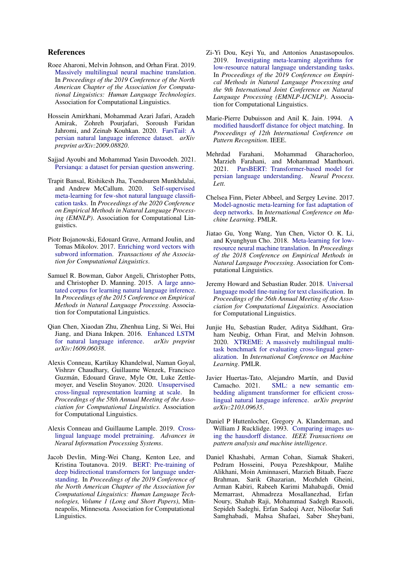# References

- <span id="page-8-14"></span>Roee Aharoni, Melvin Johnson, and Orhan Firat. 2019. [Massively multilingual neural machine translation.](https://doi.org/10.18653/v1/N19-1388) In *Proceedings of the 2019 Conference of the North American Chapter of the Association for Computational Linguistics: Human Language Technologies*. Association for Computational Linguistics.
- <span id="page-8-0"></span>Hossein Amirkhani, Mohammad Azari Jafari, Azadeh Amirak, Zohreh Pourjafari, Soroush Faridan Jahromi, and Zeinab Kouhkan. 2020. [FarsTail: A](https://arxiv.org/abs/2009.08820) [persian natural language inference dataset.](https://arxiv.org/abs/2009.08820) *arXiv preprint arXiv:2009.08820*.
- <span id="page-8-15"></span>Sajjad Ayoubi and Mohammad Yasin Davoodeh. 2021. [Persianqa: a dataset for persian question answering.](https://github.com/SajjjadAyobi/PersianQA)
- <span id="page-8-11"></span>Trapit Bansal, Rishikesh Jha, Tsendsuren Munkhdalai, and Andrew McCallum. 2020. [Self-supervised](https://doi.org/10.18653/v1/2020.emnlp-main.38) [meta-learning for few-shot natural language classifi](https://doi.org/10.18653/v1/2020.emnlp-main.38)[cation tasks.](https://doi.org/10.18653/v1/2020.emnlp-main.38) In *Proceedings of the 2020 Conference on Empirical Methods in Natural Language Processing (EMNLP)*. Association for Computational Linguistics.
- <span id="page-8-3"></span>Piotr Bojanowski, Edouard Grave, Armand Joulin, and Tomas Mikolov. 2017. [Enriching word vectors with](https://doi.org/10.1162/tacl_a_00051) [subword information.](https://doi.org/10.1162/tacl_a_00051) *Transactions of the Association for Computational Linguistics*.
- <span id="page-8-2"></span>Samuel R. Bowman, Gabor Angeli, Christopher Potts, and Christopher D. Manning. 2015. [A large anno](https://doi.org/10.18653/v1/D15-1075)[tated corpus for learning natural language inference.](https://doi.org/10.18653/v1/D15-1075) In *Proceedings of the 2015 Conference on Empirical Methods in Natural Language Processing*. Association for Computational Linguistics.
- <span id="page-8-5"></span>Qian Chen, Xiaodan Zhu, Zhenhua Ling, Si Wei, Hui Jiang, and Diana Inkpen. 2016. [Enhanced LSTM](https://doi.org/10.18653/v1/P17-1152)<br>for natural language inference. *arXiv preprint* [for natural language inference.](https://doi.org/10.18653/v1/P17-1152) *arXiv:1609.06038*.
- <span id="page-8-16"></span>Alexis Conneau, Kartikay Khandelwal, Naman Goyal, Vishrav Chaudhary, Guillaume Wenzek, Francisco Guzmán, Edouard Grave, Myle Ott, Luke Zettlemoyer, and Veselin Stoyanov. 2020. [Unsupervised](https://doi.org/10.18653/v1/2020.acl-main.747) [cross-lingual representation learning at scale.](https://doi.org/10.18653/v1/2020.acl-main.747) In *Proceedings of the 58th Annual Meeting of the Association for Computational Linguistics*. Association for Computational Linguistics.
- <span id="page-8-8"></span>Alexis Conneau and Guillaume Lample. 2019. [Cross](https://proceedings.neurips.cc/paper/2019/hash/c04c19c2c2474dbf5f7ac4372c5b9af1-Abstract.html)[lingual language model pretraining.](https://proceedings.neurips.cc/paper/2019/hash/c04c19c2c2474dbf5f7ac4372c5b9af1-Abstract.html) *Advances in Neural Information Processing Systems*.
- <span id="page-8-4"></span>Jacob Devlin, Ming-Wei Chang, Kenton Lee, and Kristina Toutanova. 2019. [BERT: Pre-training of](https://doi.org/10.18653/v1/N19-1423) [deep bidirectional transformers for language under](https://doi.org/10.18653/v1/N19-1423)[standing.](https://doi.org/10.18653/v1/N19-1423) In *Proceedings of the 2019 Conference of the North American Chapter of the Association for Computational Linguistics: Human Language Technologies, Volume 1 (Long and Short Papers)*, Minneapolis, Minnesota. Association for Computational Linguistics.
- <span id="page-8-13"></span>Zi-Yi Dou, Keyi Yu, and Antonios Anastasopoulos. 2019. [Investigating meta-learning algorithms for](https://doi.org/10.18653/v1/D19-1112) [low-resource natural language understanding tasks.](https://doi.org/10.18653/v1/D19-1112) In *Proceedings of the 2019 Conference on Empirical Methods in Natural Language Processing and the 9th International Joint Conference on Natural Language Processing (EMNLP-IJCNLP)*. Association for Computational Linguistics.
- <span id="page-8-19"></span>Marie-Pierre Dubuisson and Anil K. Jain. 1994. [A](https://doi.org/10.1109/ICPR.1994.576361) [modified hausdorff distance for object matching.](https://doi.org/10.1109/ICPR.1994.576361) In *Proceedings of 12th International Conference on Pattern Recognition*. IEEE.
- <span id="page-8-17"></span>Mehrdad Farahani, Mohammad Gharachorloo, Marzieh Farahani, and Mohammad Manthouri. [ParsBERT: Transformer-based model for](https://doi.org/10.1007/s11063-021-10528-4) [persian language understanding.](https://doi.org/10.1007/s11063-021-10528-4) *Neural Process. Lett.*
- <span id="page-8-10"></span>Chelsea Finn, Pieter Abbeel, and Sergey Levine. 2017. [Model-agnostic meta-learning for fast adaptation of](http://proceedings.mlr.press/v70/finn17a.html) [deep networks.](http://proceedings.mlr.press/v70/finn17a.html) In *International Conference on Machine Learning*. PMLR.
- <span id="page-8-12"></span>Jiatao Gu, Yong Wang, Yun Chen, Victor O. K. Li, and Kyunghyun Cho. 2018. [Meta-learning for low](https://doi.org/10.18653/v1/D18-1398)[resource neural machine translation.](https://doi.org/10.18653/v1/D18-1398) In *Proceedings of the 2018 Conference on Empirical Methods in Natural Language Processing*. Association for Computational Linguistics.
- <span id="page-8-6"></span>Jeremy Howard and Sebastian Ruder. 2018. [Universal](https://doi.org/10.18653/v1/P18-1031) [language model fine-tuning for text classification.](https://doi.org/10.18653/v1/P18-1031) In *Proceedings of the 56th Annual Meeting of the Association for Computational Linguistics*. Association for Computational Linguistics.
- <span id="page-8-7"></span>Junjie Hu, Sebastian Ruder, Aditya Siddhant, Graham Neubig, Orhan Firat, and Melvin Johnson. 2020. [XTREME: A massively multilingual multi](https://proceedings.mlr.press/v119/hu20b.html)[task benchmark for evaluating cross-lingual gener](https://proceedings.mlr.press/v119/hu20b.html)[alization.](https://proceedings.mlr.press/v119/hu20b.html) In *International Conference on Machine Learning*. PMLR.
- <span id="page-8-9"></span>Javier Huertas-Tato, Alejandro Martín, and David [SML: a new semantic em](https://arxiv.org/abs/2103.09635)[bedding alignment transformer for efficient cross](https://arxiv.org/abs/2103.09635)[lingual natural language inference.](https://arxiv.org/abs/2103.09635) *arXiv preprint arXiv:2103.09635*.
- <span id="page-8-18"></span>Daniel P Huttenlocher, Gregory A. Klanderman, and William J Rucklidge. 1993. [Comparing images us](https://doi.org/10.1109/34.232073)[ing the hausdorff distance.](https://doi.org/10.1109/34.232073) *IEEE Transactions on pattern analysis and machine intelligence*.
- <span id="page-8-1"></span>Daniel Khashabi, Arman Cohan, Siamak Shakeri, Pedram Hosseini, Pouya Pezeshkpour, Malihe Alikhani, Moin Aminnaseri, Marzieh Bitaab, Faeze Brahman, Sarik Ghazarian, Mozhdeh Gheini, Arman Kabiri, Rabeeh Karimi Mahabagdi, Omid Memarrast, Ahmadreza Mosallanezhad, Erfan Noury, Shahab Raji, Mohammad Sadegh Rasooli, Sepideh Sadeghi, Erfan Sadeqi Azer, Niloofar Safi Samghabadi, Mahsa Shafaei, Saber Sheybani,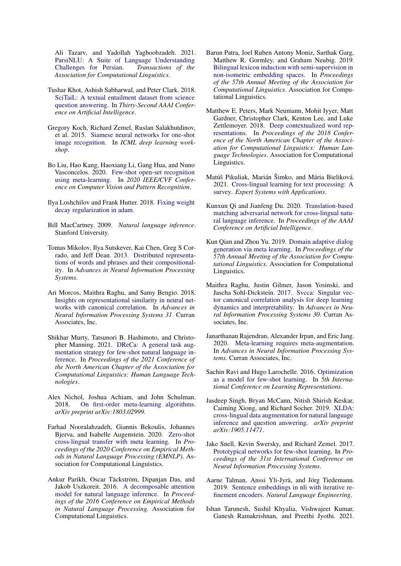Ali Tazarv, and Yadollah Yaghoobzadeh. 2021. [ParsiNLU: A Suite of Language Understanding](https://doi.org/10.1162/tacl_a_00419) [Challenges for Persian.](https://doi.org/10.1162/tacl_a_00419) *Transactions of the Association for Computational Linguistics*.

- <span id="page-9-2"></span>Tushar Khot, Ashish Sabharwal, and Peter Clark. 2018. [SciTaiL: A textual entailment dataset from science](https://www.aaai.org/ocs/index.php/AAAI/AAAI18/paper/view/17368) [question answering.](https://www.aaai.org/ocs/index.php/AAAI/AAAI18/paper/view/17368) In *Thirty-Second AAAI Conference on Artificial Intelligence*.
- <span id="page-9-7"></span>Gregory Koch, Richard Zemel, Ruslan Salakhutdinov, et al. 2015. [Siamese neural networks for one-shot](http://www.cs.cmu.edu/~rsalakhu/papers/oneshot1.pdf) [image recognition.](http://www.cs.cmu.edu/~rsalakhu/papers/oneshot1.pdf) In *ICML deep learning workshop*.
- <span id="page-9-14"></span>Bo Liu, Hao Kang, Haoxiang Li, Gang Hua, and Nuno Vasconcelos. 2020. [Few-shot open-set recognition](https://doi.org/10.1109/CVPR42600.2020.00882) [using meta-learning.](https://doi.org/10.1109/CVPR42600.2020.00882) In *2020 IEEE/CVF Conference on Computer Vision and Pattern Recognition*.
- <span id="page-9-22"></span>Ilya Loshchilov and Frank Hutter. 2018. [Fixing weight](https://openreview.net/forum?id=rk6qdGgCZ) [decay regularization in adam.](https://openreview.net/forum?id=rk6qdGgCZ)
- <span id="page-9-0"></span>Bill MacCartney. 2009. *Natural language inference*. Stanford University.
- <span id="page-9-3"></span>Tomas Mikolov, Ilya Sutskever, Kai Chen, Greg S Corrado, and Jeff Dean. 2013. [Distributed representa](https://proceedings.neurips.cc/paper/2013/hash/9aa42b31882ec039965f3c4923ce901b-Abstract.html)[tions of words and phrases and their compositional](https://proceedings.neurips.cc/paper/2013/hash/9aa42b31882ec039965f3c4923ce901b-Abstract.html)[ity.](https://proceedings.neurips.cc/paper/2013/hash/9aa42b31882ec039965f3c4923ce901b-Abstract.html) In *Advances in Neural Information Processing Systems*.
- <span id="page-9-21"></span>Ari Morcos, Maithra Raghu, and Samy Bengio. 2018. [Insights on representational similarity in neural net](http://papers.nips.cc/paper/7815-insights-on-representational-similarity-in-neural-networks-with-canonical-correlation.pdf)[works with canonical correlation.](http://papers.nips.cc/paper/7815-insights-on-representational-similarity-in-neural-networks-with-canonical-correlation.pdf) In *Advances in Neural Information Processing Systems 31*. Curran Associates, Inc.
- <span id="page-9-11"></span>Shikhar Murty, Tatsunori B. Hashimoto, and Christopher Manning. 2021. [DReCa: A general task aug](https://doi.org/10.18653/v1/2021.naacl-main.88)[mentation strategy for few-shot natural language in](https://doi.org/10.18653/v1/2021.naacl-main.88)[ference.](https://doi.org/10.18653/v1/2021.naacl-main.88) In *Proceedings of the 2021 Conference of the North American Chapter of the Association for Computational Linguistics: Human Language Technologies*.
- <span id="page-9-16"></span>Alex Nichol, Joshua Achiam, and John Schulman. 2018. [On first-order meta-learning algorithms.](http://arxiv.org/abs/1803.02999) *arXiv preprint arXiv:1803.02999*.
- <span id="page-9-1"></span>Farhad Nooralahzadeh, Giannis Bekoulis, Johannes Bjerva, and Isabelle Augenstein. 2020. [Zero-shot](https://doi.org/10.18653/v1/2020.emnlp-main.368) [cross-lingual transfer with meta learning.](https://doi.org/10.18653/v1/2020.emnlp-main.368) In *Proceedings of the 2020 Conference on Empirical Methods in Natural Language Processing (EMNLP)*. Association for Computational Linguistics.
- <span id="page-9-5"></span>Ankur Parikh, Oscar Täckström, Dipanjan Das, and Jakob Uszkoreit. 2016. [A decomposable attention](https://doi.org/10.18653/v1/D16-1244) [model for natural language inference.](https://doi.org/10.18653/v1/D16-1244) In *Proceedings of the 2016 Conference on Empirical Methods in Natural Language Processing*. Association for Computational Linguistics.
- <span id="page-9-19"></span>Barun Patra, Joel Ruben Antony Moniz, Sarthak Garg, Matthew R. Gormley, and Graham Neubig. 2019. [Bilingual lexicon induction with semi-supervision in](https://doi.org/10.18653/v1/P19-1018) [non-isometric embedding spaces.](https://doi.org/10.18653/v1/P19-1018) In *Proceedings of the 57th Annual Meeting of the Association for Computational Linguistics*. Association for Computational Linguistics.
- <span id="page-9-4"></span>Matthew E. Peters, Mark Neumann, Mohit Iyyer, Matt Gardner, Christopher Clark, Kenton Lee, and Luke Zettlemoyer. 2018. [Deep contextualized word rep](https://doi.org/10.18653/v1/N18-1202)[resentations.](https://doi.org/10.18653/v1/N18-1202) In *Proceedings of the 2018 Conference of the North American Chapter of the Association for Computational Linguistics: Human Language Technologies*. Association for Computational Linguistics.
- <span id="page-9-12"></span>Matúš Pikuliak, Marián Šimko, and Mária Bieliková. 2021. [Cross-lingual learning for text processing: A](https://doi.org/https://doi.org/10.1016/j.eswa.2020.113765) [survey.](https://doi.org/https://doi.org/10.1016/j.eswa.2020.113765) *Expert Systems with Applications*.
- <span id="page-9-10"></span>Kunxun Qi and Jianfeng Du. 2020. [Translation-based](https://doi.org/10.1609/aaai.v34i05.6387) [matching adversarial network for cross-lingual natu](https://doi.org/10.1609/aaai.v34i05.6387)[ral language inference.](https://doi.org/10.1609/aaai.v34i05.6387) In *Proceedings of the AAAI Conference on Artificial Intelligence*.
- <span id="page-9-9"></span>Kun Qian and Zhou Yu. 2019. [Domain adaptive dialog](https://doi.org/10.18653/v1/P19-1253) [generation via meta learning.](https://doi.org/10.18653/v1/P19-1253) In *Proceedings of the 57th Annual Meeting of the Association for Computational Linguistics*. Association for Computational Linguistics.
- <span id="page-9-20"></span>Maithra Raghu, Justin Gilmer, Jason Yosinski, and Jascha Sohl-Dickstein. 2017. [Svcca: Singular vec](http://papers.nips.cc/paper/7188-svcca-singular-vector-canonical-correlation-analysis-for-deep-learning-dynamics-and-interpretability.pdf)[tor canonical correlation analysis for deep learning](http://papers.nips.cc/paper/7188-svcca-singular-vector-canonical-correlation-analysis-for-deep-learning-dynamics-and-interpretability.pdf) [dynamics and interpretability.](http://papers.nips.cc/paper/7188-svcca-singular-vector-canonical-correlation-analysis-for-deep-learning-dynamics-and-interpretability.pdf) In *Advances in Neural Information Processing Systems 30*. Curran Associates, Inc.
- <span id="page-9-18"></span>Janarthanan Rajendran, Alexander Irpan, and Eric Jang. 2020. [Meta-learning requires meta-augmentation.](https://proceedings.neurips.cc/paper/2020/file/3e5190eeb51ebe6c5bbc54ee8950c548-Paper.pdf) In *Advances in Neural Information Processing Systems*. Curran Associates, Inc.
- <span id="page-9-8"></span>Sachin Ravi and Hugo Larochelle. 2016. [Optimization](https://openreview.net/forum?id=rJY0-Kcll) [as a model for few-shot learning.](https://openreview.net/forum?id=rJY0-Kcll) In *5th International Conference on Learning Representations*.
- <span id="page-9-13"></span>Jasdeep Singh, Bryan McCann, Nitish Shirish Keskar, Caiming Xiong, and Richard Socher. 2019. [XLDA:](http://arxiv.org/abs/1905.11471) [cross-lingual data augmentation for natural language](http://arxiv.org/abs/1905.11471) [inference and question answering.](http://arxiv.org/abs/1905.11471) *arXiv preprint arXiv:1905.11471*.
- <span id="page-9-15"></span>Jake Snell, Kevin Swersky, and Richard Zemel. 2017. [Prototypical networks for few-shot learning.](https://proceedings.neurips.cc/paper/2017/file/cb8da6767461f2812ae4290eac7cbc42-Paper.pdf) In *Proceedings of the 31st International Conference on Neural Information Processing Systems*.
- <span id="page-9-6"></span>Aarne Talman, Anssi Yli-Jyrä, and Jörg Tiedemann. 2019. [Sentence embeddings in nli with iterative re](https://doi.org/10.1017/S1351324919000202)[finement encoders.](https://doi.org/10.1017/S1351324919000202) *Natural Language Engineering*.
- <span id="page-9-17"></span>Ishan Tarunesh, Sushil Khyalia, Vishwajeet Kumar, Ganesh Ramakrishnan, and Preethi Jyothi. 2021.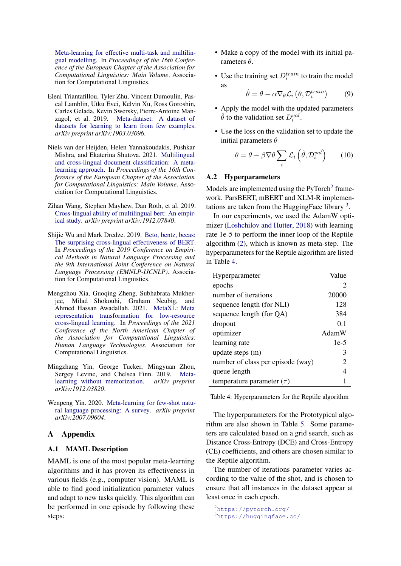[Meta-learning for effective multi-task and multilin](https://doi.org/10.18653/v1/2021.eacl-main.314)[gual modelling.](https://doi.org/10.18653/v1/2021.eacl-main.314) In *Proceedings of the 16th Conference of the European Chapter of the Association for Computational Linguistics: Main Volume*. Association for Computational Linguistics.

- <span id="page-10-4"></span>Eleni Triantafillou, Tyler Zhu, Vincent Dumoulin, Pascal Lamblin, Utku Evci, Kelvin Xu, Ross Goroshin, Carles Gelada, Kevin Swersky, Pierre-Antoine Manzagol, et al. 2019. [Meta-dataset: A dataset of](http://arxiv.org/abs/1903.03096) [datasets for learning to learn from few examples.](http://arxiv.org/abs/1903.03096) *arXiv preprint arXiv:1903.03096*.
- <span id="page-10-3"></span>Niels van der Heijden, Helen Yannakoudakis, Pushkar Mishra, and Ekaterina Shutova. 2021. [Multilingual](https://doi.org/10.18653/v1/2021.eacl-main.168) [and cross-lingual document classification: A meta](https://doi.org/10.18653/v1/2021.eacl-main.168)[learning approach.](https://doi.org/10.18653/v1/2021.eacl-main.168) In *Proceedings of the 16th Conference of the European Chapter of the Association for Computational Linguistics: Main Volume*. Association for Computational Linguistics.
- <span id="page-10-2"></span>Zihan Wang, Stephen Mayhew, Dan Roth, et al. 2019. [Cross-lingual ability of multilingual bert: An empir](http://arxiv.org/abs/1912.07840)[ical study.](http://arxiv.org/abs/1912.07840) *arXiv preprint arXiv:1912.07840*.
- <span id="page-10-0"></span>Shijie Wu and Mark Dredze. 2019. [Beto, bentz, becas:](https://doi.org/10.18653/v1/D19-1077) [The surprising cross-lingual effectiveness of BERT.](https://doi.org/10.18653/v1/D19-1077) In *Proceedings of the 2019 Conference on Empirical Methods in Natural Language Processing and the 9th International Joint Conference on Natural Language Processing (EMNLP-IJCNLP)*. Association for Computational Linguistics.
- <span id="page-10-1"></span>Mengzhou Xia, Guoqing Zheng, Subhabrata Mukherjee, Milad Shokouhi, Graham Neubig, and Ahmed Hassan Awadallah. 2021. [MetaXL: Meta](https://doi.org/10.18653/v1/2021.naacl-main.42) [representation transformation for low-resource](https://doi.org/10.18653/v1/2021.naacl-main.42) [cross-lingual learning.](https://doi.org/10.18653/v1/2021.naacl-main.42) In *Proceedings of the 2021 Conference of the North American Chapter of the Association for Computational Linguistics: Human Language Technologies*. Association for Computational Linguistics.
- <span id="page-10-5"></span>Mingzhang Yin, George Tucker, Mingyuan Zhou, Sergey Levine, and Chelsea Finn. 2019. [Meta](http://arxiv.org/abs/1912.03820)[learning without memorization.](http://arxiv.org/abs/1912.03820) *arXiv preprint arXiv:1912.03820*.
- <span id="page-10-6"></span>Wenpeng Yin. 2020. [Meta-learning for few-shot natu](https://arxiv.org/abs/2007.09604)[ral language processing: A survey.](https://arxiv.org/abs/2007.09604) *arXiv preprint arXiv:2007.09604*.

# A Appendix

#### <span id="page-10-7"></span>A.1 MAML Description

MAML is one of the most popular meta-learning algorithms and it has proven its effectiveness in various fields (e.g., computer vision). MAML is able to find good initialization parameter values and adapt to new tasks quickly. This algorithm can be performed in one episode by following these steps:

- Make a copy of the model with its initial parameters  $θ$ .
- Use the training set  $D_i^{train}$  to train the model as

$$
\hat{\theta} = \theta - \alpha \nabla_{\theta} \mathcal{L}_i \left( \theta, \mathcal{D}_i^{train} \right) \tag{9}
$$

- Apply the model with the updated parameters  $\hat{\theta}$  to the validation set  $D_i^{val}$ .
- Use the loss on the validation set to update the initial parameters  $\theta$

$$
\theta = \theta - \beta \nabla \theta \sum_{i} \mathcal{L}_i \left( \hat{\theta}, \mathcal{D}_i^{val} \right) \qquad (10)
$$

#### <span id="page-10-8"></span>A.2 Hyperparameters

Models are implemented using the PyTorch<sup>[2](#page-10-9)</sup> framework. ParsBERT, mBERT and XLM-R implementations are taken from the Hugging Face library  $3$ .

In our experiments, we used the AdamW optimizer [\(Loshchilov and Hutter,](#page-9-22) [2018\)](#page-9-22) with learning rate 1e-5 to perform the inner loop of the Reptile algorithm [\(2\)](#page-3-2), which is known as meta-step. The hyperparameters for the Reptile algorithm are listed in Table [4.](#page-10-11)

<span id="page-10-11"></span>

| Hyperparameter                    | Value  |
|-----------------------------------|--------|
| epochs                            | 2      |
| number of iterations              | 20000  |
| sequence length (for NLI)         | 128    |
| sequence length (for QA)          | 384    |
| dropout                           | 0.1    |
| optimizer                         | AdamW  |
| learning rate                     | $1e-5$ |
| update steps (m)                  | 3      |
| number of class per episode (way) | 2      |
| queue length                      | 4      |
| temperature parameter $(\tau)$    |        |

Table 4: Hyperparameters for the Reptile algorithm

The hyperparameters for the Prototypical algorithm are also shown in Table [5.](#page-11-3) Some parameters are calculated based on a grid search, such as Distance Cross-Entropy (DCE) and Cross-Entropy (CE) coefficients, and others are chosen similar to the Reptile algorithm.

The number of iterations parameter varies according to the value of the shot, and is chosen to ensure that all instances in the dataset appear at least once in each epoch.

<span id="page-10-9"></span><sup>2</sup><https://pytorch.org/>

<span id="page-10-10"></span><sup>3</sup><https://huggingface.co/>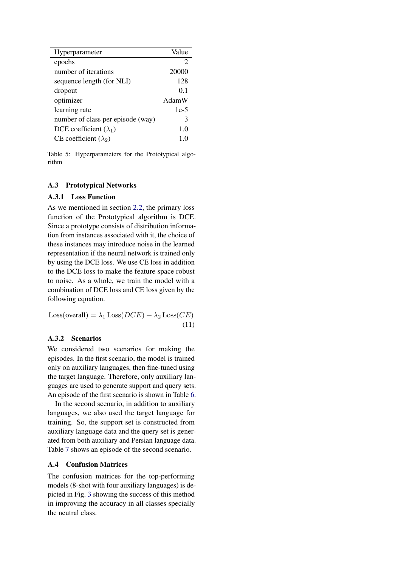<span id="page-11-3"></span>

| Hyperparameter                    | Value          |
|-----------------------------------|----------------|
| epochs                            | 2              |
| number of iterations              | 20000          |
| sequence length (for NLI)         | 128            |
| dropout                           | 0 <sub>1</sub> |
| optimizer                         | AdamW          |
| learning rate                     | $1e-5$         |
| number of class per episode (way) | 3              |
| DCE coefficient $(\lambda_1)$     | 1.0            |
| CE coefficient $(\lambda_2)$      |                |
|                                   |                |

Table 5: Hyperparameters for the Prototypical algorithm

# A.3 Prototypical Networks

# <span id="page-11-0"></span>A.3.1 Loss Function

As we mentioned in section [2.2,](#page-2-0) the primary loss function of the Prototypical algorithm is DCE. Since a prototype consists of distribution information from instances associated with it, the choice of these instances may introduce noise in the learned representation if the neural network is trained only by using the DCE loss. We use CE loss in addition to the DCE loss to make the feature space robust to noise. As a whole, we train the model with a combination of DCE loss and CE loss given by the following equation.

Loss(overall) =  $\lambda_1$  Loss( $DCE$ ) +  $\lambda_2$  Loss( $CE$ ) (11)

# <span id="page-11-1"></span>A.3.2 Scenarios

We considered two scenarios for making the episodes. In the first scenario, the model is trained only on auxiliary languages, then fine-tuned using the target language. Therefore, only auxiliary languages are used to generate support and query sets. An episode of the first scenario is shown in Table [6.](#page-12-0)

In the second scenario, in addition to auxiliary languages, we also used the target language for training. So, the support set is constructed from auxiliary language data and the query set is generated from both auxiliary and Persian language data. Table [7](#page-12-1) shows an episode of the second scenario.

# <span id="page-11-2"></span>A.4 Confusion Matrices

The confusion matrices for the top-performing models (8-shot with four auxiliary languages) is depicted in Fig. [3](#page-13-0) showing the success of this method in improving the accuracy in all classes specially the neutral class.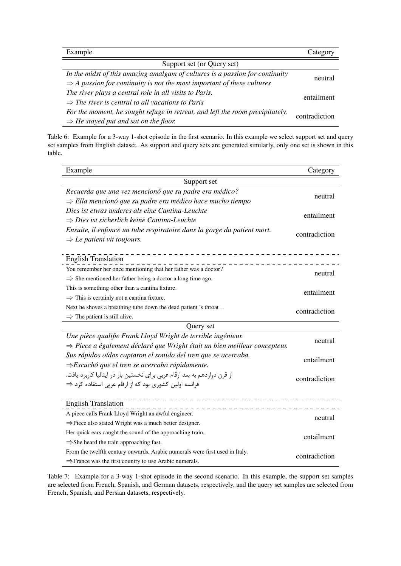<span id="page-12-0"></span>

| Example                                                                            | Category      |  |
|------------------------------------------------------------------------------------|---------------|--|
| Support set (or Query set)                                                         |               |  |
| In the midst of this amazing amalgam of cultures is a passion for continuity       | neutral       |  |
| $\Rightarrow$ A passion for continuity is not the most important of these cultures |               |  |
| The river plays a central role in all visits to Paris.                             | entailment    |  |
| $\Rightarrow$ The river is central to all vacations to Paris                       |               |  |
| For the moment, he sought refuge in retreat, and left the room precipitately.      | contradiction |  |
| $\Rightarrow$ He stayed put and sat on the floor.                                  |               |  |

Table 6: Example for a 3-way 1-shot episode in the first scenario. In this example we select support set and query set samples from English dataset. As support and query sets are generated similarly, only one set is shown in this table.

<span id="page-12-1"></span>

| Example                                                                               | Category      |  |  |  |
|---------------------------------------------------------------------------------------|---------------|--|--|--|
| Support set                                                                           |               |  |  |  |
| Recuerda que una vez mencionó que su padre era médico?                                |               |  |  |  |
| $\Rightarrow$ Ella mencionó que su padre era médico hace mucho tiempo                 | neutral       |  |  |  |
| Dies ist etwas anderes als eine Cantina-Leuchte                                       |               |  |  |  |
| $\Rightarrow$ Dies ist sicherlich keine Cantina-Leuchte                               | entailment    |  |  |  |
| Ensuite, il enfonce un tube respiratoire dans la gorge du patient mort.               | contradiction |  |  |  |
| $\Rightarrow$ Le patient vit toujours.                                                |               |  |  |  |
| <b>English Translation</b>                                                            |               |  |  |  |
| You remember her once mentioning that her father was a doctor?                        |               |  |  |  |
| $\Rightarrow$ She mentioned her father being a doctor a long time ago.                | neutral       |  |  |  |
| This is something other than a cantina fixture.                                       |               |  |  |  |
| $\Rightarrow$ This is certainly not a cantina fixture.                                | entailment    |  |  |  |
| Next he shoves a breathing tube down the dead patient 's throat.                      | contradiction |  |  |  |
| $\Rightarrow$ The patient is still alive.                                             |               |  |  |  |
| Query set                                                                             |               |  |  |  |
| Une pièce qualifie Frank Lloyd Wright de terrible ingénieur.                          | neutral       |  |  |  |
| $\Rightarrow$ Piece a également déclaré que Wright était un bien meilleur concepteur. |               |  |  |  |
| Sus rápidos oídos captaron el sonido del tren que se acercaba.                        | entailment    |  |  |  |
| $\Rightarrow$ Escuchó que el tren se acercaba rápidamente.                            |               |  |  |  |
| از قرن دوازدهم به بعد ارقام عربی برای نخستین بار در ایتالیا کاربرد یافت.              | contradiction |  |  |  |
| فرانسه اولین کشوری بود که از ارقام عربی استفاده کرد.⇒                                 |               |  |  |  |
| <b>English Translation</b>                                                            |               |  |  |  |
| A piece calls Frank Lloyd Wright an awful engineer.                                   | neutral       |  |  |  |
| $\Rightarrow$ Piece also stated Wright was a much better designer.                    |               |  |  |  |
| Her quick ears caught the sound of the approaching train.                             | entailment    |  |  |  |
| $\Rightarrow$ She heard the train approaching fast.                                   |               |  |  |  |
| From the twelfth century onwards, Arabic numerals were first used in Italy.           | contradiction |  |  |  |
| $\Rightarrow$ France was the first country to use Arabic numerals.                    |               |  |  |  |

Table 7: Example for a 3-way 1-shot episode in the second scenario. In this example, the support set samples are selected from French, Spanish, and German datasets, respectively, and the query set samples are selected from French, Spanish, and Persian datasets, respectively.